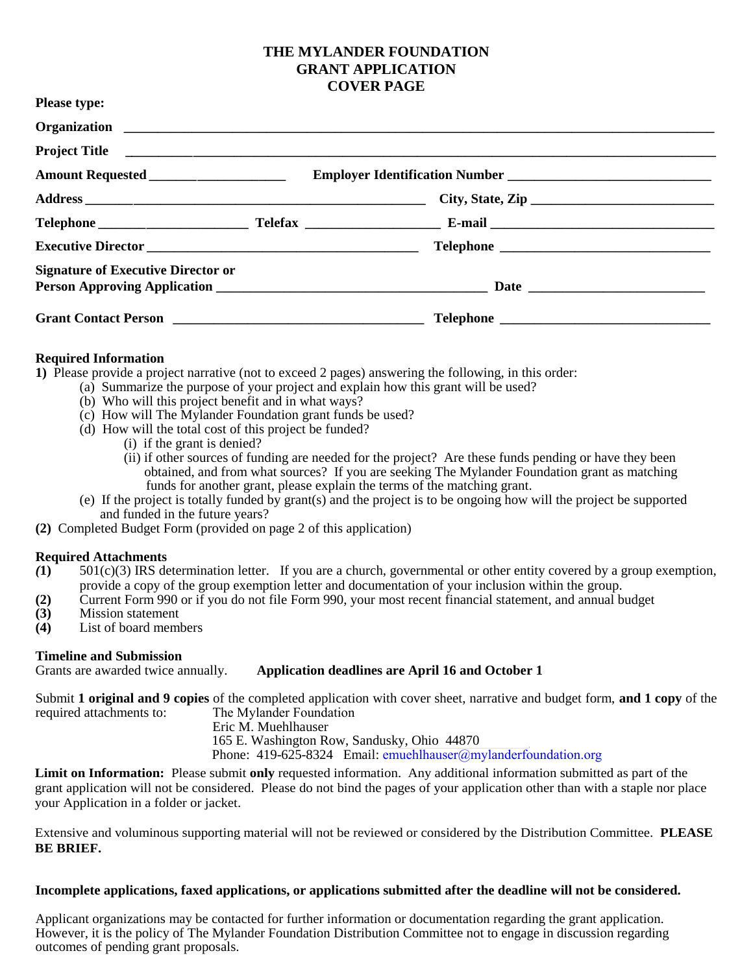## **THE MYLANDER FOUNDATION GRANT APPLICATION COVER PAGE**

| <b>Please type:</b>                       |  |
|-------------------------------------------|--|
|                                           |  |
|                                           |  |
| Amount Requested _____________________    |  |
|                                           |  |
|                                           |  |
|                                           |  |
| <b>Signature of Executive Director or</b> |  |
|                                           |  |

### **Required Information**

**1)** Please provide a project narrative (not to exceed 2 pages) answering the following, in this order:

- (a) Summarize the purpose of your project and explain how this grant will be used?
- (b) Who will this project benefit and in what ways?
- (c) How will The Mylander Foundation grant funds be used?
- (d) How will the total cost of this project be funded?
	- (i) if the grant is denied?
	- (ii) if other sources of funding are needed for the project? Are these funds pending or have they been obtained, and from what sources? If you are seeking The Mylander Foundation grant as matching funds for another grant, please explain the terms of the matching grant.
- (e) If the project is totally funded by grant(s) and the project is to be ongoing how will the project be supported and funded in the future years?
- **(2)** Completed Budget Form (provided on page 2 of this application)

### **Required Attachments**

- *(***1)** 501(c)(3) IRS determination letter. If you are a church, governmental or other entity covered by a group exemption, provide a copy of the group exemption letter and documentation of your inclusion within the group.
- **(2)** Current Form 990 or if you do not file Form 990, your most recent financial statement, and annual budget
- **(3)** Mission statement
- **(4)** List of board members

### **Timeline and Submission**

### Grants are awarded twice annually. **Application deadlines are April 16 and October 1**

Submit **1 original and 9 copies** of the completed application with cover sheet, narrative and budget form, **and 1 copy** of the required attachments to: The Mylander Foundation

Eric M. Muehlhauser

165 E. Washington Row, Sandusky, Ohio 44870

Phone: 419-625-8324 Email: emuehlhauser@mylanderfoundation.org

**Limit on Information:** Please submit **only** requested information. Any additional information submitted as part of the grant application will not be considered. Please do not bind the pages of your application other than with a staple nor place your Application in a folder or jacket.

Extensive and voluminous supporting material will not be reviewed or considered by the Distribution Committee. **PLEASE BE BRIEF.** 

### **Incomplete applications, faxed applications, or applications submitted after the deadline will not be considered.**

Applicant organizations may be contacted for further information or documentation regarding the grant application. However, it is the policy of The Mylander Foundation Distribution Committee not to engage in discussion regarding outcomes of pending grant proposals.